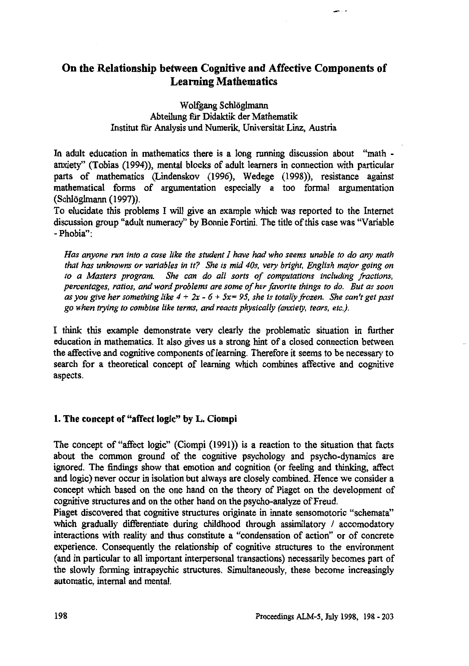# **On the Relationship between Cognitive and Affective Components of Learning Mathematics**

Wolfgang Schlöglmann Abteilung fir Didaktik der Mathematik Institut für Analysis und Numerik, Universität Linz, Austria

In adult education in mathematics there is a long running discussion about "math anxiety" (Tobias (1994)), mental blocks of adult learners in connection with particular parts of mathematics (Lindenskov (1996), Wedege (1998)), resistance against mathematical forms of argumentation especially a too formal argumentation (Schloglmann (1997)).

To elucidate this problems I will give an example which was reported to the Internet discussion group "adult numeracy" by Bonnie Fortini. The title of this case was "Variable - Phobia":

*Has anyone run into a case like the student I have had who seems unable to do any math that has unknowns or variables in it? She is mid 40s, very bright, English major going on to a Masters program. She can do all sorts of computations including fractions, percentages, ratios, and word problems are some of her favorite things to do. But as soon as you give her something like 4 + 2x - 6 + 5x= 95, she is totally frozen. She can't get past go when trying to combine like terms, and reacts physically (anxiety, tears, etc).*

I think this example demonstrate very clearly the problematic situation in further education in mathematics. It also gives us a strong hint of a closed connection between the affective and cognitive components of learning. Therefore it seems to be necessary to search for a theoretical concept of learning which combines affective and cognitive aspects.

### **1. The concept of "affect logic" by L. Ciompi**

The concept of "affect logic" (Ciompi (1991)) is a reaction to the situation that facts about the common ground of the cognitive psychology and psycho-dynamics are ignored. The findings show that emotion and cognition (or feeling and thinking, affect and logic) never occur in isolation but always are closely combined. Hence we consider a concept which based on the one hand on the theory of Piaget on the development of cognitive structures and on the other hand on the psycho-analyze of Freud.

Piaget discovered that cognitive structures originate in innate sensomotoric "schemata" which gradually differentiate during childhood through assimilatory / accomodatory interactions with reality and thus constitute a "condensation of action" or of concrete experience. Consequently the relationship of cognitive structures to the environment (and in particular to all important interpersonal transactions) necessarily becomes part of the slowly forming intrapsychic structures. Simultaneously, these become increasingly automatic, internal and mental.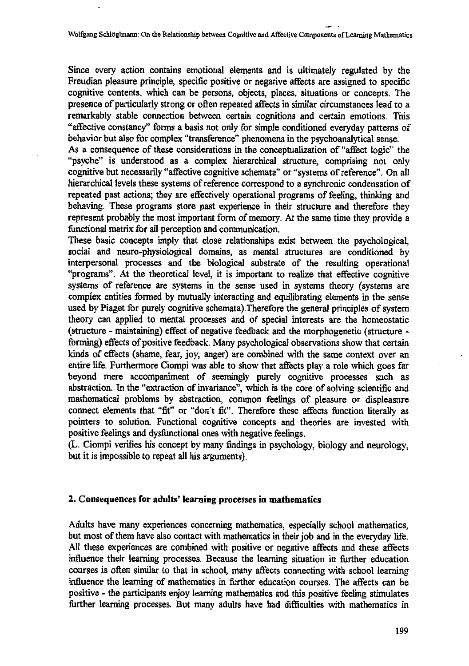**Since every action contains emotional elements and is ultimately regulated by the Freudian pleasure principle, specific positive or negative affects are assigned to specific cognitive contents. which can be persons, objects, places, situations or concepts. The presence of particularly strong or often repeated affects in similar circumstances lead to a remarkably stable connection between certain cognitions and certain emotions. This "affective constancy" forms a basis not only for simple conditioned everyday patterns of behavior but also for complex "transference" phenomena in the psychoanalytical sense.**

**As a consequence of these considerations in the conceptualization of "affect logic" the "psyche" is understood as a complex hierarchical structure, comprising not only cognitive but necessarily "affective cognitive schemata" or "systems of reference". On all hierarchical levels these systems of reference correspond to a synchronic condensation of repeated past actions; they are effectively operational programs of feeling, thinking and behaving. These programs store past experience in their structure and therefore they represent probably the most important form of memory. At the same time they provide a functional matrix for all perception and communication.**

**These basic concepts imply that close relationships exist between the psychological, social and neuro-physiological domains, as mental structures are conditioned by interpersonal processes and the biological substrate of the resulting operational "programs". At the theoretical level, it is important to realize that effective cognitive systems of reference are systems in the sense used in systems theory (systems are complex entities formed by mutually interacting and equilibrating elements in the sense used by Piaget for purely cognitive schemata).Therefore the general principles of system theory can applied to mental processes and of special interests are the homeostatic (structure - maintaining) effect of negative feedback and the morphogenetic (structure**  forming) effects of positive feedback. Many psychological observations show that certain **kinds of effects (shame, fear, joy, anger) are combined with the same context over an entire life. Furthermore Ciompi was able to show that affects play a role which goes far beyond mere accompaniment of seemingly purely cognitive processes such as abstraction. In the "extraction of invariance", which is the core of solving scientific and mathematical problems by abstraction, common feelings of pleasure or displeasure connect elements that "fit" or "don't fit". Therefore these affects function literally as pointers to solution. Functional cognitive concepts and theories are invested with positive feelings and dysfunctional ones with negative feelings.**

**(L. Ciompi verifies his concept by many findings in psychology, biology and neurology, but it is impossible to repeat all his arguments).**

### **2. Consequences for adults' learning processes in mathematics**

**Adults have many experiences concerning mathematics, especially school mathematics, but most of them have also contact with mathematics in their job and in the everyday life. All these experiences are combined with positive or negative affects and these affects influence their learning processes. Because the learning situation in further education courses is often similar to that in school, many affects connecting with school learning influence the learning of mathematics in further education courses. The affects can be positive - the participants enjoy learning mathematics and this positive feeling stimulates further learning processes. But many adults have had difficulties with mathematics in**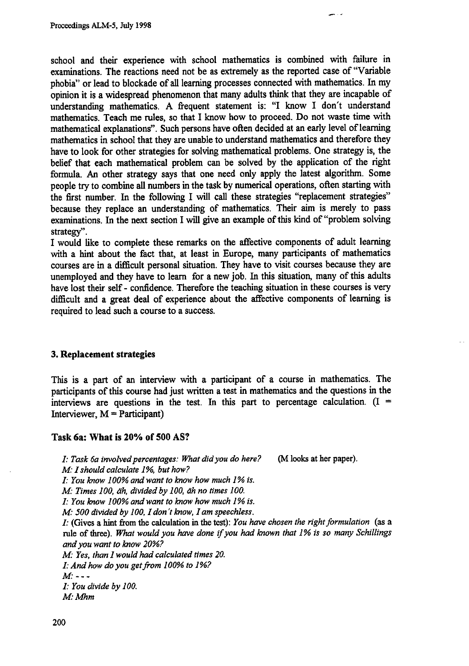**school and their experience with school mathematics is combined with failure in examinations. The reactions need not be as extremely as the reported case of "Variable phobia" or lead to blockade of all learning processes connected with mathematics. In my opinion it is a widespread phenomenon that many adults think that they are incapable of understanding mathematics. A frequent statement is: "I know I don't understand mathematics. Teach me rules, so that I know how to proceed. Do not waste time with mathematical explanations". Such persons have often decided at an early level of learning mathematics in school that they are unable to understand mathematics and therefore they have to look for other strategies for solving mathematical problems. One strategy is, the belief that each mathematical problem can be solved by the application of the right formula. An other strategy says that one need only apply the latest algorithm. Some people try to combine all numbers in the task by numerical operations, often starting with the first number. In the following I will call these strategies "replacement strategies" because they replace an understanding of mathematics. Their aim is merely to pass examinations. In the next section I will give an example of this kind of "problem solving strategy".**

**I would like to complete these remarks on the affective components of adult learning with a hint about the fact that, at least in Europe, many participants of mathematics courses are in a difficult personal situation. They have to visit courses because they are unemployed and they have to learn for a new job. In this situation, many of this adults have lost their self - confidence. Therefore the teaching situation in these courses is very difficult and a great deal of experience about the affective components of learning is required to lead such a course to a success.**

### **3. Replacement strategies**

**This is a part of an interview with a participant of a course in mathematics. The participants of this course had just written a test in mathematics and the questions in the interviews are questions in the test. In this part to percentage calculation. (I = Interviewer, M = Participant)**

### **Task 6a: What is 20% of 500 AS?**

*I: Task 6a involved percentages: What did you do here?* **(M looks at her paper).** *M: I should calculate 1%, but how? I: You know 100% and want to know how much 1% is. M: Times 100, doh, divided by 100, eih no times 100. I: You know 100% and want to know how much I% is. M: 500 divided by 100, I don't know, I am speechless. I:* **(Gives a hint from the calculation in the test):** *You have chosen the right formulation* **(as a rule of three).** *What would you have done if you had known that I% is so many Schillings and you want to know 20%? M: Yes, than I would had calculated times 20. 1: And how do you get from 100% to 1%? M*: - - -*I: You divide by 100. M: Mhni*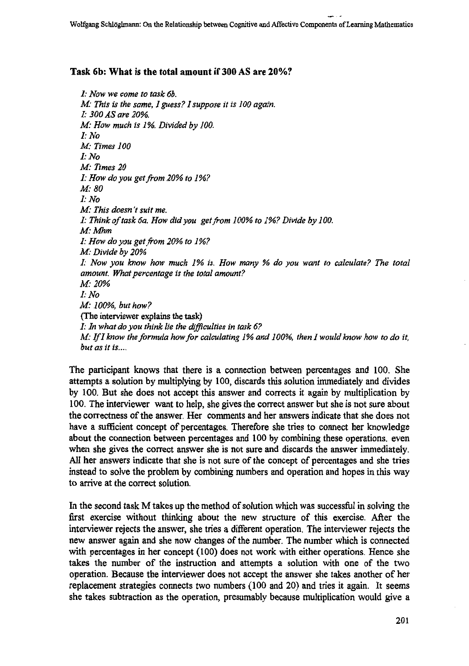## **Task 6b: What is the total amount if 300 AS are 20%?**

*1: Now we come to task 6b. M: This is the same, 1 guess? I suppose it is 100 again. I . 300 AS are 20%. M. How much is 1%. Divided by 100. I: No M: Times 100 I: No M: Times 20 I: How do you get from 20% to 1%? M• 80 I: No M: This doesn't suit me. I: Think of task 6a. How did you get from 100% to 1%? Divide by 100. M. Mhm I: How do you get from 20% to 1%? M: Divide by 20% I: Now you know how much 1% is. How many % do you want to calculate? The total amount. What percentage is the total amount? Al? 20% I: No M::100% but how?* (The interviewer explains the task) *I: In what do you think lie the difficulties in task 6? M: If I know the formula how for calculating 1% and 100%, then I would know how to do it, but as it is....*

The participant knows that there is a connection between percentages and 100. She attempts a solution by multiplying by 100, discards this solution immediately and divides by 100. But she does not accept this answer and corrects it again by multiplication by 100. The interviewer want to help, she gives the correct answer but she is not sure about the correctness of the answer. Her comments and her answers indicate that she does not have a sufficient concept of percentages. Therefore she tries to connect her knowledge about the connection between percentages and 100 by combining these operations. even when she gives the correct answer she is not sure and discards the answer immediately. All her answers indicate that she is not sure of the concept of percentages and she tries instead to solve the problem by combining numbers and operation and hopes in this way to arrive at the correct solution.

In the second task M takes up the method of solution which was successful in solving the first exercise without thinking about the new structure of this exercise. After the interviewer rejects the answer, she tries a different operation. The interviewer rejects the new answer again and she now changes of the number. The number which is connected with percentages in her concept (100) does not work with either operations. Hence she takes the number of the instruction and attempts a solution with one of the two operation. Because the interviewer does not accept the answer she takes another of her replacement strategies connects two numbers (100 and 20) and tries it again. It seems she takes subtraction as the operation, presumably because multiplication would give a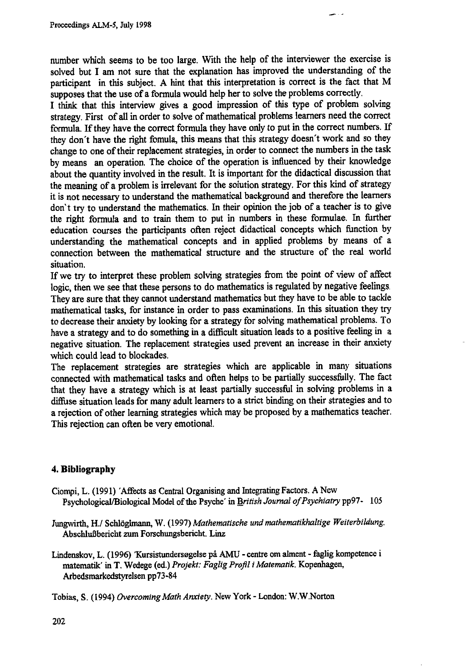**number which seems to be too large. With the help of the interviewer the exercise is solved but I am not sure that the explanation has improved the understanding of the participant in this subject. A hint that this interpretation is correct is the fact that M supposes that the use of a formula would help her to solve the problems correctly.**

**I think that this interview gives a good impression of this type of problem solving strategy. First of all in order to solve of mathematical problems learners need the correct formula. If they have the correct formula they have only to put in the correct numbers. If they don't have the right fomula, this means that this strategy doesn't work and so they change to one of their replacement strategies, in order to connect the numbers in the task by means an operation. The choice of the operation is influenced by their knowledge about the quantity involved in the result. It is important for the didactical discussion that the meaning of a problem is irrelevant for the solution strategy. For this kind of strategy it is not necessary to understand the mathematical background and therefore the learners don't try to understand the mathematics. In their opinion the job of a teacher is to give the right formula and to train them to put in numbers in these formulae. In further education courses the participants often reject didactical concepts which function by understanding the mathematical concepts and in applied problems by means of a connection between the mathematical structure and the structure of the real world situation.**

**If we try to interpret these problem solving strategies from the point of view of affect logic, then we see that these persons to do mathematics is regulated by negative feelings. They are sure that they cannot understand mathematics but they have to be able to tackle mathematical tasks, for instance in order to pass examinations. In this situation they try to decrease their anxiety by looking for a strategy for solving mathematical problems. To** have a strategy and to do something in a difficult situation leads to a positive feeling in a **negative situation. The replacement strategies used prevent an increase in their anxiety which could lead to blockades.**

**The replacement strategies are strategies which are applicable in many situations connected with mathematical tasks and often helps to be partially successfully. The fact that they have a strategy which is at least partially successful in solving problems in a diffuse situation leads for many adult learners to a strict binding on their strategies and to a rejection of other learning strategies which may be proposed by a mathematics teacher. This rejection can often be very emotional.**

### **4. Bibliography**

- **Ciampi, L. (1991) 'Affects as Central Organising and Integrating Factors. A New Psychological/Biological Model of the Psyche' in** *British Journal of Psychiatry* **pp97- 105**
- **Jungwirth,** *Hi* **Schhighnann, W. (1997)** *Mathematische and mathematikhaltige Weiterbildung.* **AbschluBbericht zum Forschungsbericht. Linz**
- Lindenskov, L. (1996) 'Kursistundersøgelse på AMU centre om alment faglig kompetence i **matematik' in T. Wedege (ed.)** *Projekt: Faglig Profil i Matematik.* **Kopenhagen, Arbedsmarkedstyrelsen pp73-84**
- **Tobias, S. (1994)** *Overcoming Math Anxiety.* **New York London: W.W.Norton**